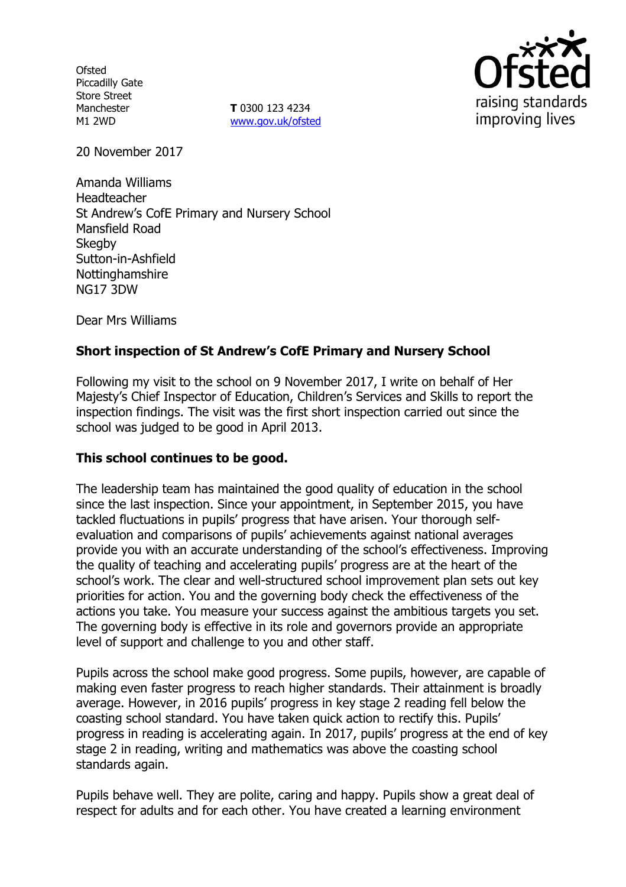**Ofsted** Piccadilly Gate Store Street Manchester M1 2WD

**T** 0300 123 4234 www.gov.uk/ofsted



20 November 2017

Amanda Williams Headteacher St Andrew's CofE Primary and Nursery School Mansfield Road **Skegby** Sutton-in-Ashfield **Nottinghamshire** NG17 3DW

Dear Mrs Williams

### **Short inspection of St Andrew's CofE Primary and Nursery School**

Following my visit to the school on 9 November 2017, I write on behalf of Her Majesty's Chief Inspector of Education, Children's Services and Skills to report the inspection findings. The visit was the first short inspection carried out since the school was judged to be good in April 2013.

### **This school continues to be good.**

The leadership team has maintained the good quality of education in the school since the last inspection. Since your appointment, in September 2015, you have tackled fluctuations in pupils' progress that have arisen. Your thorough selfevaluation and comparisons of pupils' achievements against national averages provide you with an accurate understanding of the school's effectiveness. Improving the quality of teaching and accelerating pupils' progress are at the heart of the school's work. The clear and well-structured school improvement plan sets out key priorities for action. You and the governing body check the effectiveness of the actions you take. You measure your success against the ambitious targets you set. The governing body is effective in its role and governors provide an appropriate level of support and challenge to you and other staff.

Pupils across the school make good progress. Some pupils, however, are capable of making even faster progress to reach higher standards. Their attainment is broadly average. However, in 2016 pupils' progress in key stage 2 reading fell below the coasting school standard. You have taken quick action to rectify this. Pupils' progress in reading is accelerating again. In 2017, pupils' progress at the end of key stage 2 in reading, writing and mathematics was above the coasting school standards again.

Pupils behave well. They are polite, caring and happy. Pupils show a great deal of respect for adults and for each other. You have created a learning environment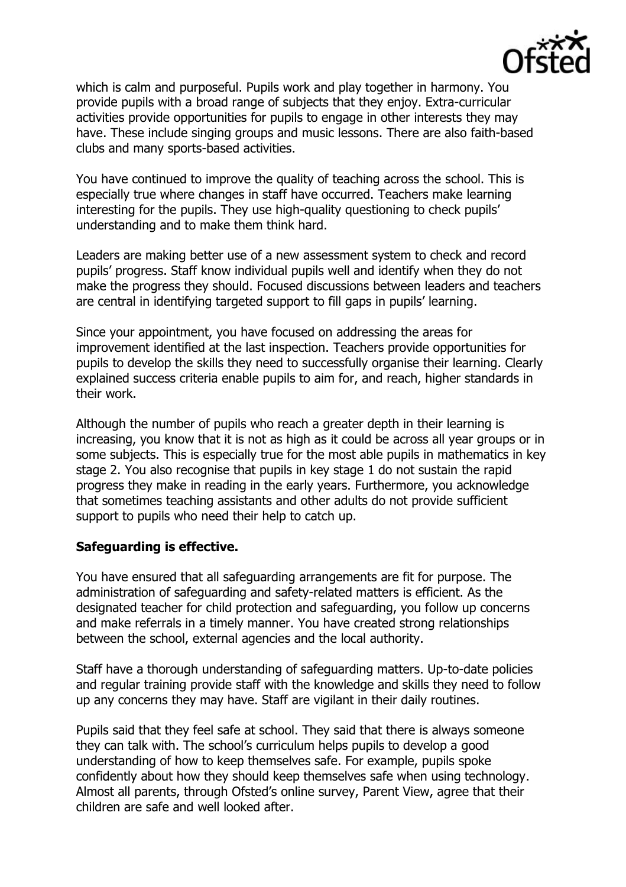

which is calm and purposeful. Pupils work and play together in harmony. You provide pupils with a broad range of subjects that they enjoy. Extra-curricular activities provide opportunities for pupils to engage in other interests they may have. These include singing groups and music lessons. There are also faith-based clubs and many sports-based activities.

You have continued to improve the quality of teaching across the school. This is especially true where changes in staff have occurred. Teachers make learning interesting for the pupils. They use high-quality questioning to check pupils' understanding and to make them think hard.

Leaders are making better use of a new assessment system to check and record pupils' progress. Staff know individual pupils well and identify when they do not make the progress they should. Focused discussions between leaders and teachers are central in identifying targeted support to fill gaps in pupils' learning.

Since your appointment, you have focused on addressing the areas for improvement identified at the last inspection. Teachers provide opportunities for pupils to develop the skills they need to successfully organise their learning. Clearly explained success criteria enable pupils to aim for, and reach, higher standards in their work.

Although the number of pupils who reach a greater depth in their learning is increasing, you know that it is not as high as it could be across all year groups or in some subjects. This is especially true for the most able pupils in mathematics in key stage 2. You also recognise that pupils in key stage 1 do not sustain the rapid progress they make in reading in the early years. Furthermore, you acknowledge that sometimes teaching assistants and other adults do not provide sufficient support to pupils who need their help to catch up.

### **Safeguarding is effective.**

You have ensured that all safeguarding arrangements are fit for purpose. The administration of safeguarding and safety-related matters is efficient. As the designated teacher for child protection and safeguarding, you follow up concerns and make referrals in a timely manner. You have created strong relationships between the school, external agencies and the local authority.

Staff have a thorough understanding of safeguarding matters. Up-to-date policies and regular training provide staff with the knowledge and skills they need to follow up any concerns they may have. Staff are vigilant in their daily routines.

Pupils said that they feel safe at school. They said that there is always someone they can talk with. The school's curriculum helps pupils to develop a good understanding of how to keep themselves safe. For example, pupils spoke confidently about how they should keep themselves safe when using technology. Almost all parents, through Ofsted's online survey, Parent View, agree that their children are safe and well looked after.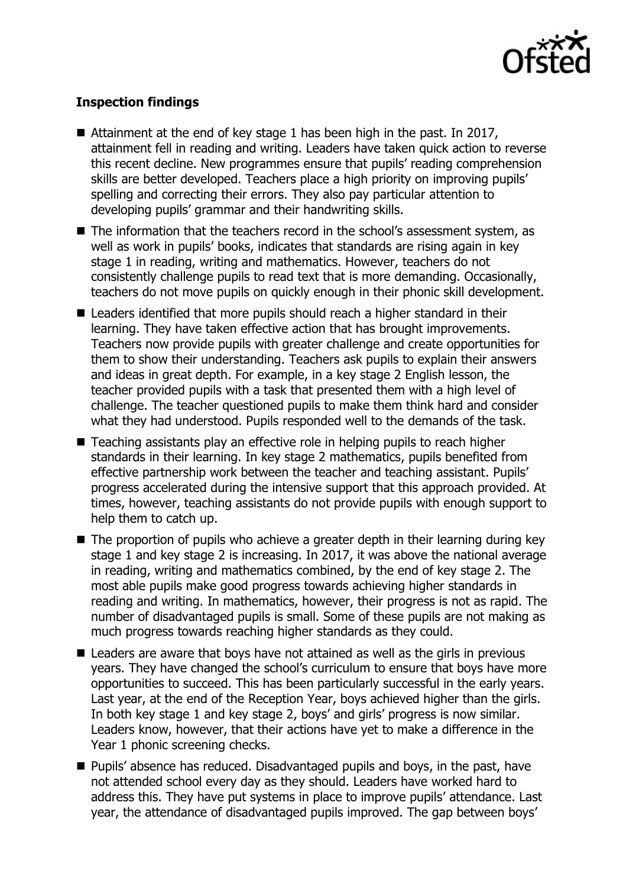

# **Inspection findings**

- Attainment at the end of key stage 1 has been high in the past. In 2017, attainment fell in reading and writing. Leaders have taken quick action to reverse this recent decline. New programmes ensure that pupils' reading comprehension skills are better developed. Teachers place a high priority on improving pupils' spelling and correcting their errors. They also pay particular attention to developing pupils' grammar and their handwriting skills.
- The information that the teachers record in the school's assessment system, as well as work in pupils' books, indicates that standards are rising again in key stage 1 in reading, writing and mathematics. However, teachers do not consistently challenge pupils to read text that is more demanding. Occasionally, teachers do not move pupils on quickly enough in their phonic skill development.
- Leaders identified that more pupils should reach a higher standard in their learning. They have taken effective action that has brought improvements. Teachers now provide pupils with greater challenge and create opportunities for them to show their understanding. Teachers ask pupils to explain their answers and ideas in great depth. For example, in a key stage 2 English lesson, the teacher provided pupils with a task that presented them with a high level of challenge. The teacher questioned pupils to make them think hard and consider what they had understood. Pupils responded well to the demands of the task.
- Teaching assistants play an effective role in helping pupils to reach higher standards in their learning. In key stage 2 mathematics, pupils benefited from effective partnership work between the teacher and teaching assistant. Pupils' progress accelerated during the intensive support that this approach provided. At times, however, teaching assistants do not provide pupils with enough support to help them to catch up.
- The proportion of pupils who achieve a greater depth in their learning during key stage 1 and key stage 2 is increasing. In 2017, it was above the national average in reading, writing and mathematics combined, by the end of key stage 2. The most able pupils make good progress towards achieving higher standards in reading and writing. In mathematics, however, their progress is not as rapid. The number of disadvantaged pupils is small. Some of these pupils are not making as much progress towards reaching higher standards as they could.
- $\blacksquare$  Leaders are aware that boys have not attained as well as the girls in previous years. They have changed the school's curriculum to ensure that boys have more opportunities to succeed. This has been particularly successful in the early years. Last year, at the end of the Reception Year, boys achieved higher than the girls. In both key stage 1 and key stage 2, boys' and girls' progress is now similar. Leaders know, however, that their actions have yet to make a difference in the Year 1 phonic screening checks.
- **Pupils'** absence has reduced. Disadvantaged pupils and boys, in the past, have not attended school every day as they should. Leaders have worked hard to address this. They have put systems in place to improve pupils' attendance. Last year, the attendance of disadvantaged pupils improved. The gap between boys'